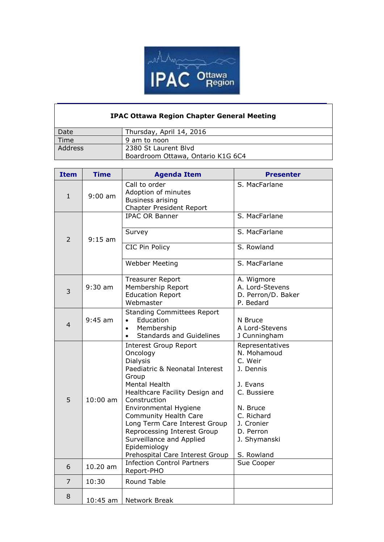

## **IPAC Ottawa Region Chapter General Meeting**

| Date    | Thursday, April 14, 2016          |
|---------|-----------------------------------|
| Time    | 9 am to noon                      |
| Address | 2380 St Laurent Blyd              |
|         | Boardroom Ottawa, Ontario K1G 6C4 |

| <b>Item</b>    | <b>Time</b> | <b>Agenda Item</b>                                                                                                                                                                                                                                                                                                                                                         | <b>Presenter</b>                                                                                                                                                     |
|----------------|-------------|----------------------------------------------------------------------------------------------------------------------------------------------------------------------------------------------------------------------------------------------------------------------------------------------------------------------------------------------------------------------------|----------------------------------------------------------------------------------------------------------------------------------------------------------------------|
| $\mathbf{1}$   | $9:00$ am   | Call to order<br>Adoption of minutes<br><b>Business arising</b><br><b>Chapter President Report</b>                                                                                                                                                                                                                                                                         | S. MacFarlane                                                                                                                                                        |
| $\overline{2}$ | $9:15$ am   | <b>IPAC OR Banner</b>                                                                                                                                                                                                                                                                                                                                                      | S. MacFarlane                                                                                                                                                        |
|                |             | Survey                                                                                                                                                                                                                                                                                                                                                                     | S. MacFarlane                                                                                                                                                        |
|                |             | CIC Pin Policy                                                                                                                                                                                                                                                                                                                                                             | S. Rowland                                                                                                                                                           |
|                |             | <b>Webber Meeting</b>                                                                                                                                                                                                                                                                                                                                                      | S. MacFarlane                                                                                                                                                        |
| 3              | $9:30$ am   | <b>Treasurer Report</b><br>Membership Report<br><b>Education Report</b><br>Webmaster                                                                                                                                                                                                                                                                                       | A. Wigmore<br>A. Lord-Stevens<br>D. Perron/D. Baker<br>P. Bedard                                                                                                     |
| $\overline{4}$ | $9:45$ am   | <b>Standing Committees Report</b><br>Education<br>$\bullet$<br>Membership<br>$\bullet$<br><b>Standards and Guidelines</b><br>$\bullet$                                                                                                                                                                                                                                     | N Bruce<br>A Lord-Stevens<br>J Cunningham                                                                                                                            |
| 5              | $10:00$ am  | <b>Interest Group Report</b><br>Oncology<br><b>Dialysis</b><br>Paediatric & Neonatal Interest<br>Group<br>Mental Health<br>Healthcare Facility Design and<br>Construction<br>Environmental Hygiene<br>Community Health Care<br>Long Term Care Interest Group<br>Reprocessing Interest Group<br>Surveillance and Applied<br>Epidemiology<br>Prehospital Care Interest Group | Representatives<br>N. Mohamoud<br>C. Weir<br>J. Dennis<br>J. Evans<br>C. Bussiere<br>N. Bruce<br>C. Richard<br>J. Cronier<br>D. Perron<br>J. Shymanski<br>S. Rowland |
| 6              | 10.20 am    | <b>Infection Control Partners</b><br>Report-PHO                                                                                                                                                                                                                                                                                                                            | Sue Cooper                                                                                                                                                           |
| $\overline{7}$ | 10:30       | Round Table                                                                                                                                                                                                                                                                                                                                                                |                                                                                                                                                                      |
| 8              | $10:45$ am  | Network Break                                                                                                                                                                                                                                                                                                                                                              |                                                                                                                                                                      |